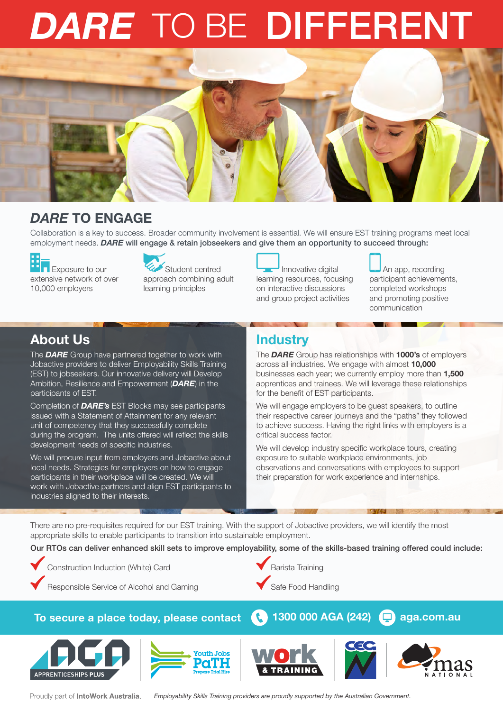# *DARE* TO BE DIFFERENT



## *DARE* TO ENGAGE

Collaboration is a key to success. Broader community involvement is essential. We will ensure EST training programs meet local employment needs. *DARE* will engage & retain jobseekers and give them an opportunity to succeed through:

**Exposure to our** extensive network of over 10,000 employers



Student centred approach combining adult learning principles

Innovative digital learning resources, focusing on interactive discussions and group project activities

An app, recording

participant achievements, completed workshops and promoting positive communication

## About Us

The *DARE* Group have partnered together to work with Jobactive providers to deliver Employability Skills Training (EST) to jobseekers. Our innovative delivery will Develop Ambition, Resilience and Empowerment (*DARE*) in the participants of EST.

Completion of *DARE's* EST Blocks may see participants issued with a Statement of Attainment for any relevant unit of competency that they successfully complete during the program. The units offered will reflect the skills development needs of specific industries.

We will procure input from employers and Jobactive about local needs. Strategies for employers on how to engage participants in their workplace will be created. We will work with Jobactive partners and align EST participants to industries aligned to their interests.

# **Industry**

The *DARE* Group has relationships with 1000's of employers across all industries. We engage with almost 10,000 businesses each year; we currently employ more than 1,500 apprentices and trainees. We will leverage these relationships for the benefit of EST participants.

We will engage employers to be guest speakers, to outline their respective career journeys and the "paths" they followed to achieve success. Having the right links with employers is a critical success factor.

We will develop industry specific workplace tours, creating exposure to suitable workplace environments, job observations and conversations with employees to support their preparation for work experience and internships.

There are no pre-requisites required for our EST training. With the support of Jobactive providers, we will identify the most appropriate skills to enable participants to transition into sustainable employment.

Our RTOs can deliver enhanced skill sets to improve employability, some of the skills-based training offered could include:



Responsible Service of Alcohol and Gaming

Construction Induction (White) Card

Barista Training Safe Food Handling

#### To secure a place today, please contact **1300 000 AGA (242)** aga.com.au